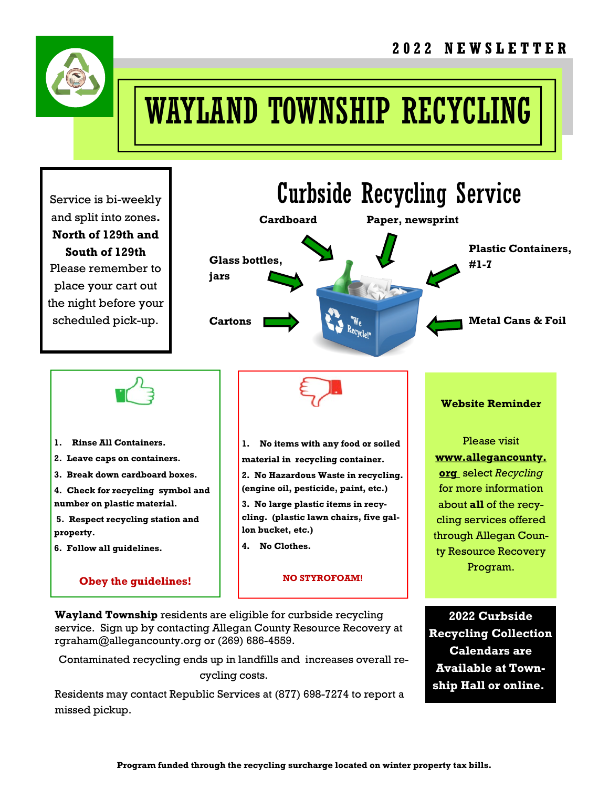

# WAYLAND TOWNSHIP RECYCLING

Service is bi-weekly and split into zones. North of 129th and South of 129th Please remember to place your cart out the night before your scheduled pick-up.



- 1. Rinse All Containers.
- 2. Leave caps on containers.
- 3. Break down cardboard boxes.
- 4. Check for recycling symbol and number on plastic material.
- 5. Respect recycling station and property.
- 6. Follow all guidelines.

#### Obey the guidelines!

1. No items with any food or soiled

material in recycling container.

2. No Hazardous Waste in recycling. (engine oil, pesticide, paint, etc.)

3. No large plastic items in recycling. (plastic lawn chairs, five gallon bucket, etc.)

4. No Clothes.

#### NO STYROFOAM!

Wayland Township residents are eligible for curbside recycling service. Sign up by contacting Allegan County Resource Recovery at rgraham@allegancounty.org or (269) 686-4559.

Contaminated recycling ends up in landfills and increases overall recycling costs.

Residents may contact Republic Services at (877) 698-7274 to report a missed pickup.

2022 Curbside Recycling Collection Calendars are Available at Township Hall or online..

Website Reminder

Please visit www.allegancounty. org select Recycling for more information about all of the recycling services offered through Allegan County Resource Recovery Program.